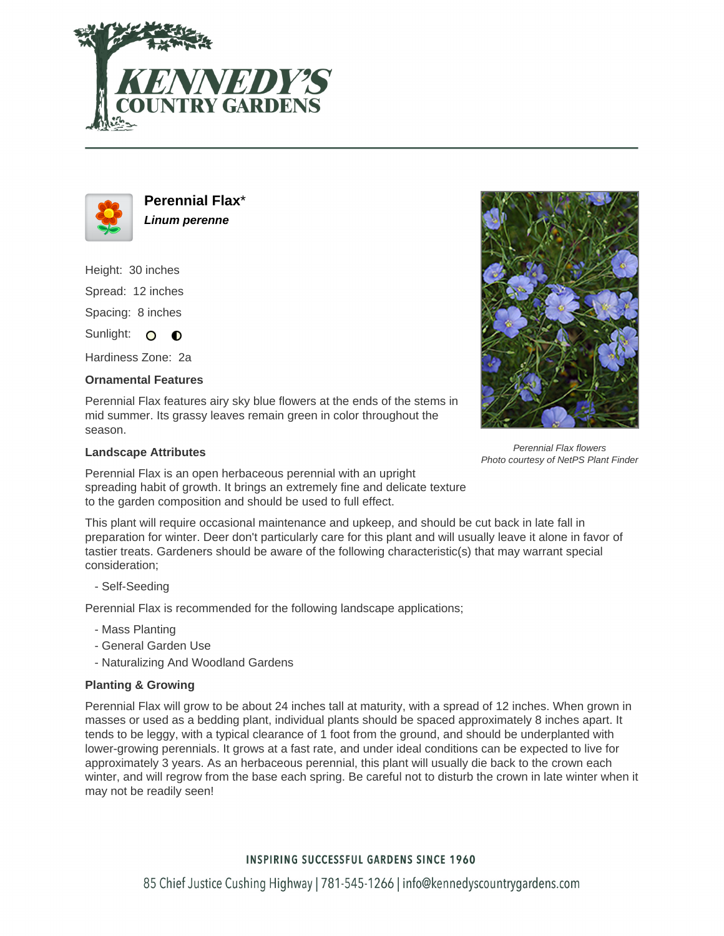



**Perennial Flax**\* **Linum perenne**

Height: 30 inches Spread: 12 inches

Spacing: 8 inches

Sunlight: O **O** 

Hardiness Zone: 2a

## **Ornamental Features**

Perennial Flax features airy sky blue flowers at the ends of the stems in mid summer. Its grassy leaves remain green in color throughout the season.

## **Landscape Attributes**

Perennial Flax is an open herbaceous perennial with an upright spreading habit of growth. It brings an extremely fine and delicate texture to the garden composition and should be used to full effect.

This plant will require occasional maintenance and upkeep, and should be cut back in late fall in preparation for winter. Deer don't particularly care for this plant and will usually leave it alone in favor of tastier treats. Gardeners should be aware of the following characteristic(s) that may warrant special consideration;

- Self-Seeding

Perennial Flax is recommended for the following landscape applications;

- Mass Planting
- General Garden Use
- Naturalizing And Woodland Gardens

## **Planting & Growing**

Perennial Flax will grow to be about 24 inches tall at maturity, with a spread of 12 inches. When grown in masses or used as a bedding plant, individual plants should be spaced approximately 8 inches apart. It tends to be leggy, with a typical clearance of 1 foot from the ground, and should be underplanted with lower-growing perennials. It grows at a fast rate, and under ideal conditions can be expected to live for approximately 3 years. As an herbaceous perennial, this plant will usually die back to the crown each winter, and will regrow from the base each spring. Be careful not to disturb the crown in late winter when it may not be readily seen!



## **INSPIRING SUCCESSFUL GARDENS SINCE 1960**



Perennial Flax flowers Photo courtesy of NetPS Plant Finder